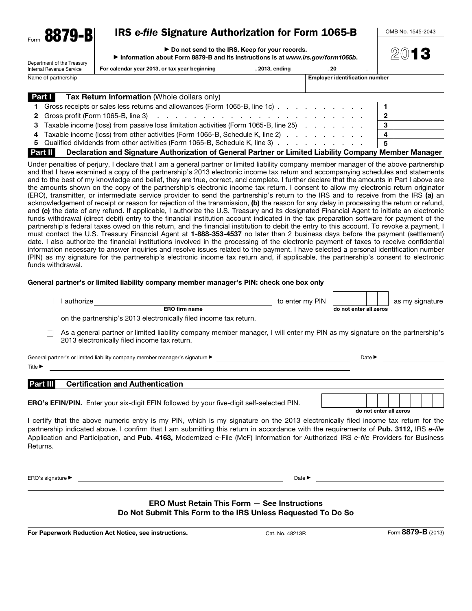| Form | 70<br>oо<br>107<br>ш. |  |
|------|-----------------------|--|
|      |                       |  |

# IRS *e-file* Signature Authorization for Form 1065-B

OMB No. 1545-2043

2013

| ▶ Do not send to the IRS. Keep for your records. |
|--------------------------------------------------|
|--------------------------------------------------|

▶ Information about Form 8879-B and its instructions is at *www.irs.gov/form1065b*.

| Department of the Treasury<br>Internal Revenue Service | For calendar year 2013, or tax year beginning | . 2013. endina | 20                                    |  |
|--------------------------------------------------------|-----------------------------------------------|----------------|---------------------------------------|--|
| Name of partnership                                    |                                               |                | <b>Emplover identification number</b> |  |

| <b>Part I</b><br>Tax Return Information (Whole dollars only)                                                      |                         |
|-------------------------------------------------------------------------------------------------------------------|-------------------------|
| 1 Gross receipts or sales less returns and allowances (Form 1065-B, line 1c)                                      |                         |
|                                                                                                                   | $\overline{2}$          |
| 3 Taxable income (loss) from passive loss limitation activities (Form 1065-B, line 25)                            | - 3                     |
| 4 Taxable income (loss) from other activities (Form 1065-B, Schedule K, line 2)                                   | $\overline{\mathbf{4}}$ |
| 5 Qualified dividends from other activities (Form 1065-B, Schedule K, line 3)                                     | -5                      |
| Part II<br>Declaration and Signature Authorization of General Partner or Limited Liability Company Member Manager |                         |

Under penalties of perjury, I declare that I am a general partner or limited liability company member manager of the above partnership and that I have examined a copy of the partnership's 2013 electronic income tax return and accompanying schedules and statements and to the best of my knowledge and belief, they are true, correct, and complete. I further declare that the amounts in Part I above are the amounts shown on the copy of the partnership's electronic income tax return. I consent to allow my electronic return originator (ERO), transmitter, or intermediate service provider to send the partnership's return to the IRS and to receive from the IRS (a) an acknowledgement of receipt or reason for rejection of the transmission, (b) the reason for any delay in processing the return or refund, and (c) the date of any refund. If applicable, I authorize the U.S. Treasury and its designated Financial Agent to initiate an electronic funds withdrawal (direct debit) entry to the financial institution account indicated in the tax preparation software for payment of the partnership's federal taxes owed on this return, and the financial institution to debit the entry to this account. To revoke a payment, I must contact the U.S. Treasury Financial Agent at 1-888-353-4537 no later than 2 business days before the payment (settlement) date. I also authorize the financial institutions involved in the processing of the electronic payment of taxes to receive confidential information necessary to answer inquiries and resolve issues related to the payment. I have selected a personal identification number (PIN) as my signature for the partnership's electronic income tax return and, if applicable, the partnership's consent to electronic funds withdrawal.

#### General partner's or limited liability company member manager's PIN: check one box only

|                             | authorize                                                                                                                                                                  | to enter my PIN |                        |                            |  | as my signature |  |
|-----------------------------|----------------------------------------------------------------------------------------------------------------------------------------------------------------------------|-----------------|------------------------|----------------------------|--|-----------------|--|
|                             | <b>ERO firm name</b>                                                                                                                                                       |                 | do not enter all zeros |                            |  |                 |  |
|                             | on the partnership's 2013 electronically filed income tax return.                                                                                                          |                 |                        |                            |  |                 |  |
|                             | As a general partner or limited liability company member manager, I will enter my PIN as my signature on the partnership's<br>2013 electronically filed income tax return. |                 |                        |                            |  |                 |  |
|                             | General partner's or limited liability company member manager's signature $\blacktriangleright$                                                                            |                 |                        | Date $\blacktriangleright$ |  |                 |  |
| Title $\blacktriangleright$ |                                                                                                                                                                            |                 |                        |                            |  |                 |  |
| Part III                    | <b>Certification and Authentication</b>                                                                                                                                    |                 |                        |                            |  |                 |  |
|                             | <b>ERO's EFIN/PIN.</b> Enter your six-digit EFIN followed by your five-digit self-selected PIN.                                                                            |                 |                        |                            |  |                 |  |
|                             |                                                                                                                                                                            |                 |                        | do not enter all zeros     |  |                 |  |

I certify that the above numeric entry is my PIN, which is my signature on the 2013 electronically filed income tax return for the partnership indicated above. I confirm that I am submitting this return in accordance with the requirements of Pub. 3112, IRS *e-file* Application and Participation, and Pub. 4163, Modernized e-File (MeF) Information for Authorized IRS *e-file* Providers for Business Returns.

ERO's signature ▶ Date ▶

#### ERO Must Retain This Form — See Instructions Do Not Submit This Form to the IRS Unless Requested To Do So

For Paperwork Reduction Act Notice, see instructions. Cat. No. 48213R Form 8879-B (2013)